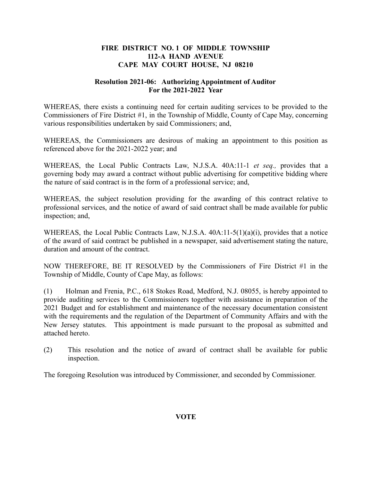## **FIRE DISTRICT NO. 1 OF MIDDLE TOWNSHIP 112-A HAND AVENUE CAPE MAY COURT HOUSE, NJ 08210**

## **Resolution 2021-06: Authorizing Appointment of Auditor For the 2021-2022 Year**

WHEREAS, there exists a continuing need for certain auditing services to be provided to the Commissioners of Fire District #1, in the Township of Middle, County of Cape May, concerning various responsibilities undertaken by said Commissioners; and,

WHEREAS, the Commissioners are desirous of making an appointment to this position as referenced above for the 2021-2022 year; and

WHEREAS, the Local Public Contracts Law, N.J.S.A. 40A:11-1 *et seq.,* provides that a governing body may award a contract without public advertising for competitive bidding where the nature of said contract is in the form of a professional service; and,

WHEREAS, the subject resolution providing for the awarding of this contract relative to professional services, and the notice of award of said contract shall be made available for public inspection; and,

WHEREAS, the Local Public Contracts Law, N.J.S.A. 40A:11-5(1)(a)(i), provides that a notice of the award of said contract be published in a newspaper, said advertisement stating the nature, duration and amount of the contract.

NOW THEREFORE, BE IT RESOLVED by the Commissioners of Fire District #1 in the Township of Middle, County of Cape May, as follows:

(1) Holman and Frenia, P.C., 618 Stokes Road, Medford, N.J. 08055, is hereby appointed to provide auditing services to the Commissioners together with assistance in preparation of the 2021 Budget and for establishment and maintenance of the necessary documentation consistent with the requirements and the regulation of the Department of Community Affairs and with the New Jersey statutes. This appointment is made pursuant to the proposal as submitted and attached hereto.

(2) This resolution and the notice of award of contract shall be available for public inspection.

The foregoing Resolution was introduced by Commissioner, and seconded by Commissioner.

## **VOTE**